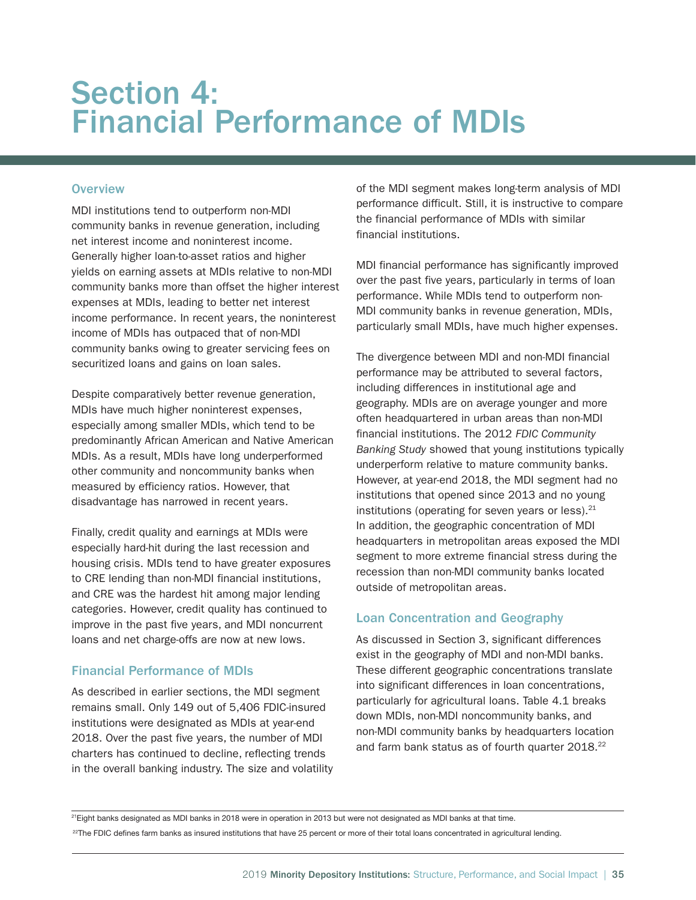# Section 4: Financial Performance of MDIs

# **Overview**

MDI institutions tend to outperform non-MDI community banks in revenue generation, including net interest income and noninterest income. Generally higher loan-to-asset ratios and higher yields on earning assets at MDIs relative to non-MDI community banks more than offset the higher interest expenses at MDIs, leading to better net interest income performance. In recent years, the noninterest income of MDIs has outpaced that of non-MDI community banks owing to greater servicing fees on securitized loans and gains on loan sales.

Despite comparatively better revenue generation, MDIs have much higher noninterest expenses, especially among smaller MDIs, which tend to be predominantly African American and Native American MDIs. As a result, MDIs have long underperformed other community and noncommunity banks when measured by efficiency ratios. However, that disadvantage has narrowed in recent years.

Finally, credit quality and earnings at MDIs were especially hard-hit during the last recession and housing crisis. MDIs tend to have greater exposures to CRE lending than non-MDI financial institutions, and CRE was the hardest hit among major lending categories. However, credit quality has continued to improve in the past five years, and MDI noncurrent loans and net charge-offs are now at new lows.

# Financial Performance of MDIs

As described in earlier sections, the MDI segment remains small. Only 149 out of 5,406 FDIC-insured institutions were designated as MDIs at year-end 2018. Over the past five years, the number of MDI charters has continued to decline, reflecting trends in the overall banking industry. The size and volatility

of the MDI segment makes long-term analysis of MDI performance difficult. Still, it is instructive to compare the financial performance of MDIs with similar financial institutions.

MDI financial performance has significantly improved over the past five years, particularly in terms of loan performance. While MDIs tend to outperform non-MDI community banks in revenue generation, MDIs, particularly small MDIs, have much higher expenses.

The divergence between MDI and non-MDI financial performance may be attributed to several factors, including differences in institutional age and geography. MDIs are on average younger and more often headquartered in urban areas than non-MDI financial institutions. The 2012 *FDIC Community Banking Study* showed that young institutions typically underperform relative to mature community banks. However, at year-end 2018, the MDI segment had no institutions that opened since 2013 and no young institutions (operating for seven years or less). $21$ In addition, the geographic concentration of MDI headquarters in metropolitan areas exposed the MDI segment to more extreme financial stress during the recession than non-MDI community banks located outside of metropolitan areas.

# Loan Concentration and Geography

As discussed in Section 3, significant differences exist in the geography of MDI and non-MDI banks. These different geographic concentrations translate into significant differences in loan concentrations, particularly for agricultural loans. Table 4.1 breaks down MDIs, non-MDI noncommunity banks, and non-MDI community banks by headquarters location and farm bank status as of fourth quarter 2018.<sup>22</sup>

<sup>21</sup>Eight banks designated as MDI banks in 2018 were in operation in 2013 but were not designated as MDI banks at that time.

 $^{22}$ The FDIC defines farm banks as insured institutions that have 25 percent or more of their total loans concentrated in agricultural lending.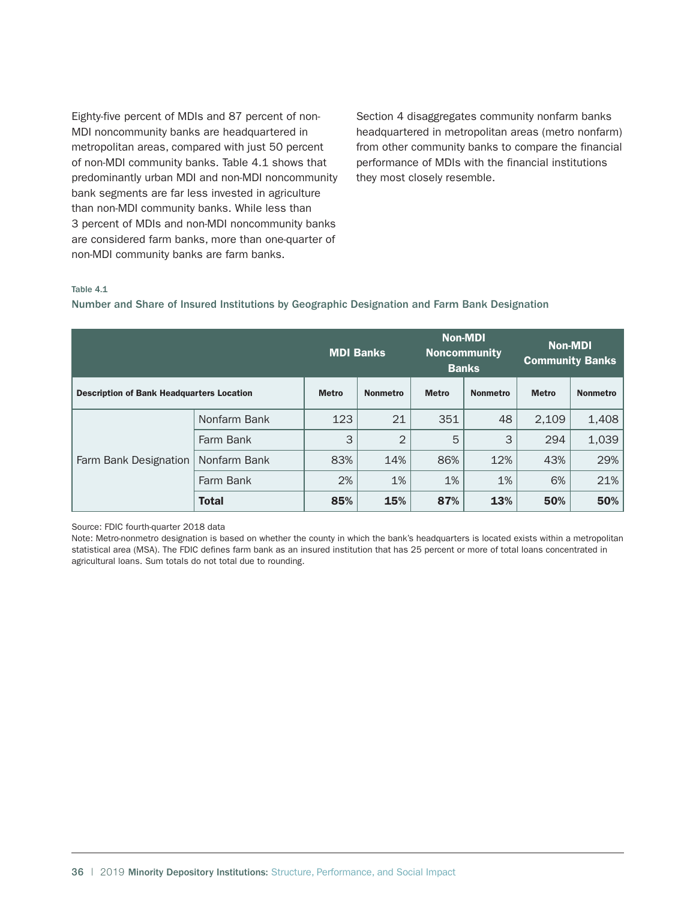Eighty-five percent of MDIs and 87 percent of non-MDI noncommunity banks are headquartered in metropolitan areas, compared with just 50 percent of non-MDI community banks. Table 4.1 shows that predominantly urban MDI and non-MDI noncommunity bank segments are far less invested in agriculture than non-MDI community banks. While less than 3 percent of MDIs and non-MDI noncommunity banks are considered farm banks, more than one-quarter of non-MDI community banks are farm banks.

Section 4 disaggregates community nonfarm banks headquartered in metropolitan areas (metro nonfarm) from other community banks to compare the financial performance of MDIs with the financial institutions they most closely resemble.

## Table 4.1

MDI Banks Non-MDI Noncommunity Banks Non-MDI Community Banks Description of Bank Headquarters Location **Metro Nonmetro Nonmetro Nonmetro Metro Nonmetro** Nonmetro Farm Bank Designation Nonfarm Bank | 123 | 21 | 351 | 48 | 2,109 | 1,408 Farm Bank  $\begin{array}{|c|c|c|c|c|c|c|c|c|} \hline \end{array}$  3  $\begin{array}{|c|c|c|c|c|} \hline \end{array}$  3  $\begin{array}{|c|c|c|c|c|} \hline \end{array}$  3  $\begin{array}{|c|c|c|c|} \hline \end{array}$  3  $\begin{array}{|c|c|c|c|c|} \hline \end{array}$  3  $\begin{array}{|c|c|c|c|c|} \hline \end{array}$  3  $\begin{array}{|c|c|c|c|c|} \hline \end{array$ Nonfarm Bank | 83% | 14% | 86% | 12% | 43% | 29% Farm Bank 1 2% 1% 1% 1% 1% 6% 21% Total | 85% | 15% | 87% | 13% | 50% | 50%

Number and Share of Insured Institutions by Geographic Designation and Farm Bank Designation

Source: FDIC fourth-quarter 2018 data

Note: Metro-nonmetro designation is based on whether the county in which the bank's headquarters is located exists within a metropolitan statistical area (MSA). The FDIC defines farm bank as an insured institution that has 25 percent or more of total loans concentrated in agricultural loans. Sum totals do not total due to rounding.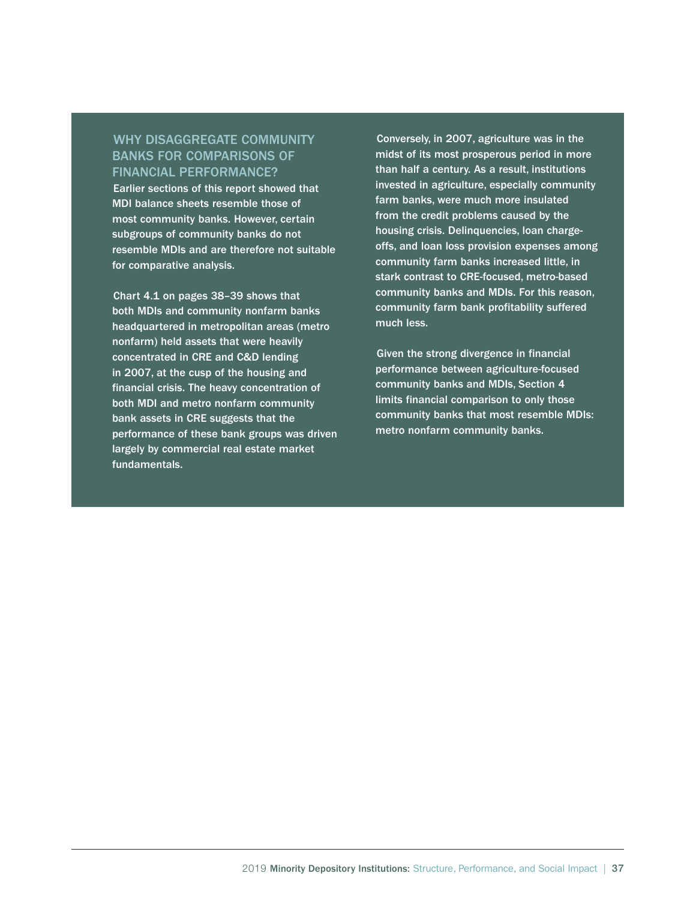WHY DISAGGREGATE COMMUNITY BANKS FOR COMPARISONS OF FINANCIAL PERFORMANCE? Earlier sections of this report showed that

MDI balance sheets resemble those of most community banks. However, certain subgroups of community banks do not resemble MDIs and are therefore not suitable for comparative analysis.

Chart 4.1 on pages 38–39 shows that both MDIs and community nonfarm banks headquartered in metropolitan areas (metro nonfarm) held assets that were heavily concentrated in CRE and C&D lending in 2007, at the cusp of the housing and financial crisis. The heavy concentration of both MDI and metro nonfarm community bank assets in CRE suggests that the performance of these bank groups was driven largely by commercial real estate market fundamentals.

Conversely, in 2007, agriculture was in the midst of its most prosperous period in more than half a century. As a result, institutions invested in agriculture, especially community farm banks, were much more insulated from the credit problems caused by the housing crisis. Delinquencies, loan chargeoffs, and loan loss provision expenses among community farm banks increased little, in stark contrast to CRE-focused, metro-based community banks and MDIs. For this reason, community farm bank profitability suffered much less.

Given the strong divergence in financial performance between agriculture-focused community banks and MDIs, Section 4 limits financial comparison to only those community banks that most resemble MDIs: metro nonfarm community banks.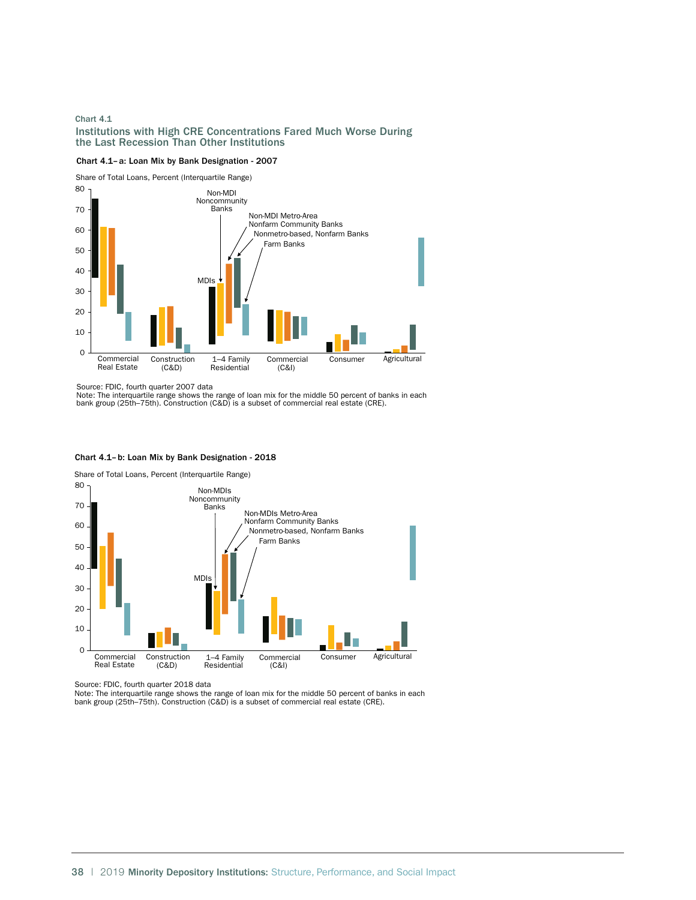## Chart 4.1 Institutions with High CRE Concentrations Fared Much Worse During the Last Recession Than Other Institutions

#### Chart 4.1– a: Loan Mix by Bank Designation - 2007

Share of Total Loans, Percent (Interquartile Range)



Source: FDIC, fourth quarter 2007 data

Note: The interquartile range shows the range of loan mix for the middle 50 percent of banks in each bank group (25th–75th). Construction (C&D) is a subset of commercial real estate (CRE).

## Chart 4.1– b: Loan Mix by Bank Designation - 2018

Share of Total Loans, Percent (Interquartile Range)



Source: FDIC, fourth quarter 2018 data

Note: The interquartile range shows the range of loan mix for the middle 50 percent of banks in each bank group (25th–75th). Construction (C&D) is a subset of commercial real estate (CRE).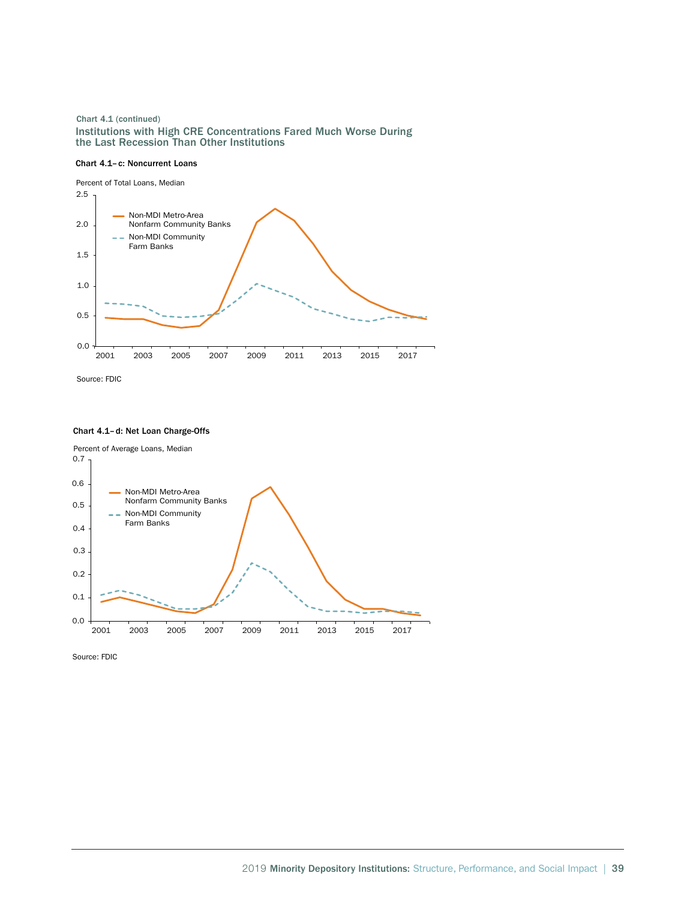## Chart 4.1 (continued) Institutions with High CRE Concentrations Fared Much Worse During the Last Recession Than Other Institutions

## Chart 4.1– c: Noncurrent Loans





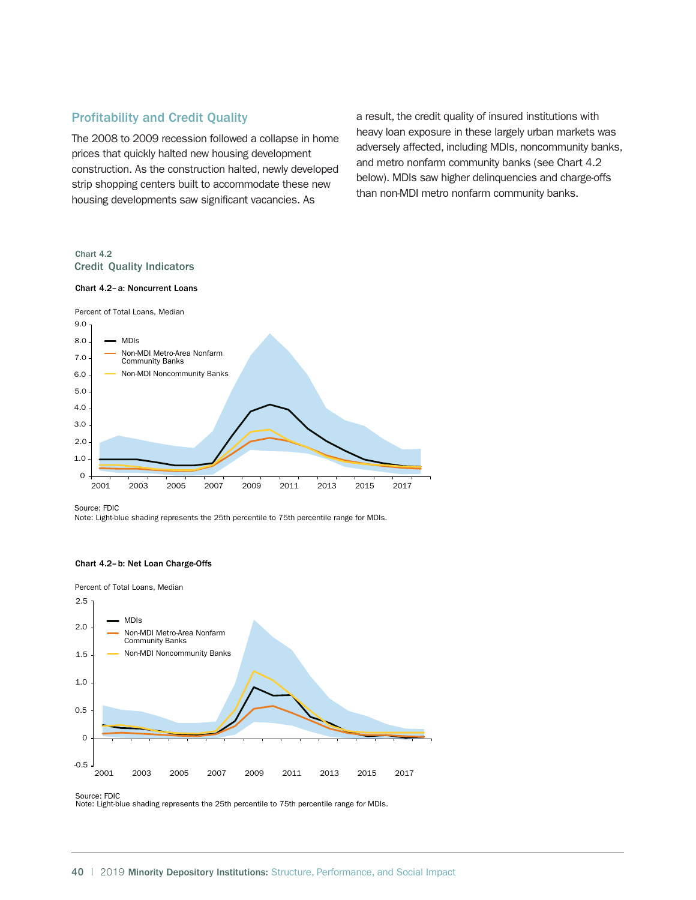# Profitability and Credit Quality

The 2008 to 2009 recession followed a collapse in home prices that quickly halted new housing development construction. As the construction halted, newly developed strip shopping centers built to accommodate these new housing developments saw significant vacancies. As

#### Chart 4.2 Credit Quality Indicators

#### Chart 4.2– a: Noncurrent Loans



Source: FDIC

Note: Light-blue shading represents the 25th percentile to 75th percentile range for MDIs.

#### Chart 4.2– b: Net Loan Charge-Offs



Source: FDIC

Note: Light-blue shading represents the 25th percentile to 75th percentile range for MDIs.

a result, the credit quality of insured institutions with heavy loan exposure in these largely urban markets was adversely affected, including MDIs, noncommunity banks, and metro nonfarm community banks (see Chart 4.2 below). MDIs saw higher delinquencies and charge-offs than non-MDI metro nonfarm community banks.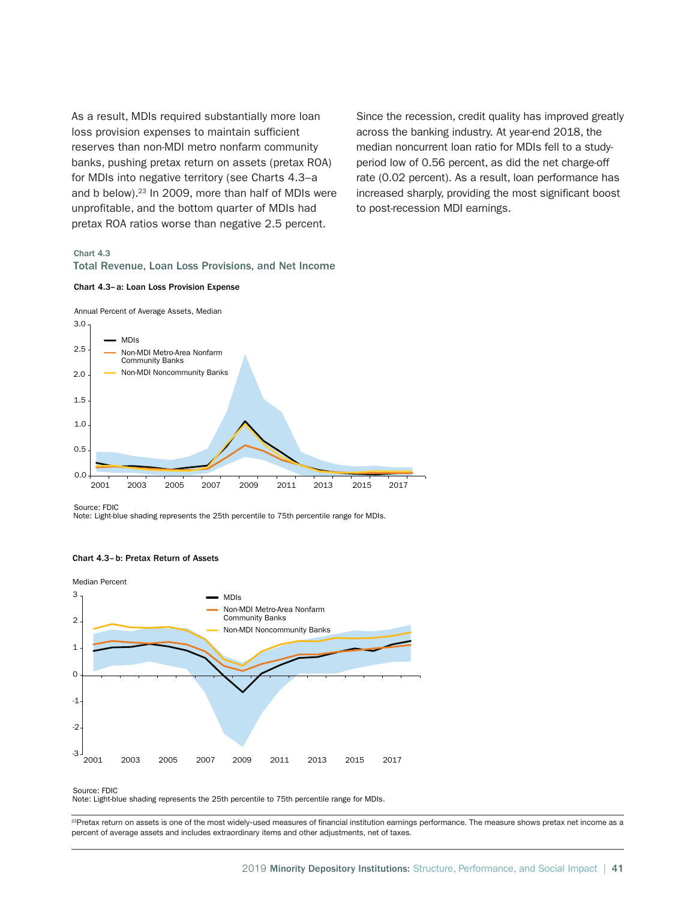As a result, MDIs required substantially more loan loss provision expenses to maintain sufficient reserves than non-MDI metro nonfarm community banks, pushing pretax return on assets (pretax ROA) for MDIs into negative territory (see Charts 4.3–a and b below).<sup>23</sup> In 2009, more than half of MDIs were unprofitable, and the bottom quarter of MDIs had pretax ROA ratios worse than negative 2.5 percent.

#### Chart 4.3

## Total Revenue, Loan Loss Provisions, and Net Income



2001 2003 2005 2007 2009 2011 2013 2015 2017 MDIs Non-MDI Metro-Area Nonfarm Community Banks Non-MDI Noncommunity Banks Annual Percent of Average Assets, Median  $0.0$ 0.5 1.0 1.5 2.0 2.5 3.0

Source: FDIC

Note: Light-blue shading represents the 25th percentile to 75th percentile range for MDIs.



## Chart 4.3– b: Pretax Return of Assets

Source: FDIC

Note: Light-blue shading represents the 25th percentile to 75th percentile range for MDIs.

<sup>23</sup>Pretax return on assets is one of the most widely-used measures of financial institution earnings performance. The measure shows pretax net income as a percent of average assets and includes extraordinary items and other adjustments, net of taxes.

Since the recession, credit quality has improved greatly across the banking industry. At year-end 2018, the median noncurrent loan ratio for MDIs fell to a studyperiod low of 0.56 percent, as did the net charge-off rate (0.02 percent). As a result, loan performance has increased sharply, providing the most significant boost to post-recession MDI earnings.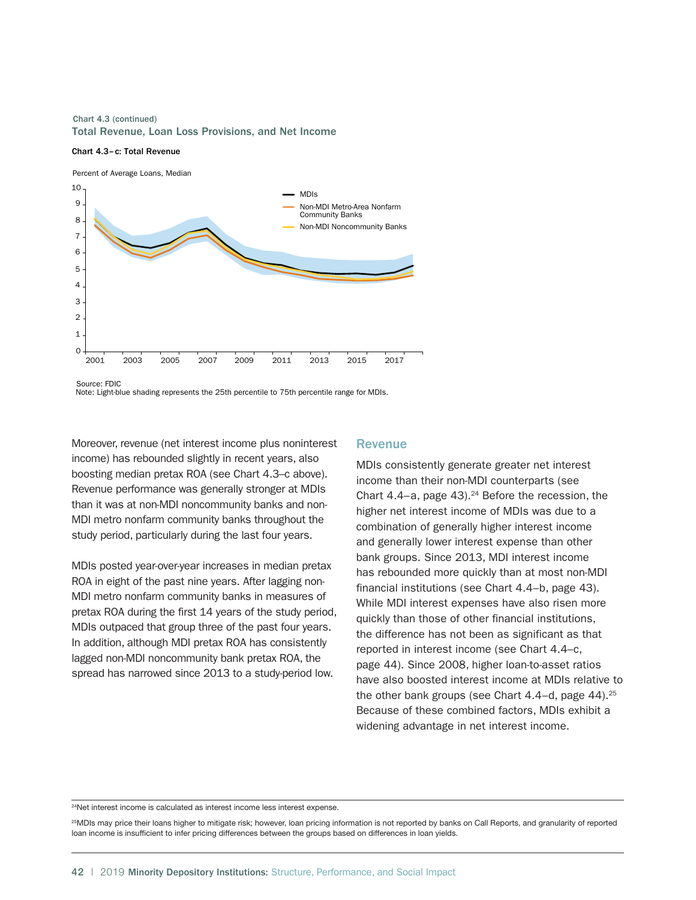Chart 4.3 (continued) Total Revenue, Loan Loss Provisions, and Net Income

#### Chart 4.3– c: Total Revenue

Percent of Average Loans, Median 8 10 9 6 7 4 5 3 1 0 2 MDIs Non-MDI Metro-Area Nonfarm Community Banks Non-MDI Noncommunity Banks 2001 2003 2005 2007 2009 2011 2013 2015 2017 Source: FDIC

Note: Light-blue shading represents the 25th percentile to 75th percentile range for MDIs.

Moreover, revenue (net interest income plus noninterest income) has rebounded slightly in recent years, also boosting median pretax ROA (see Chart 4.3–c above). Revenue performance was generally stronger at MDIs than it was at non-MDI noncommunity banks and non-MDI metro nonfarm community banks throughout the study period, particularly during the last four years.

MDIs posted year-over-year increases in median pretax ROA in eight of the past nine years. After lagging non-MDI metro nonfarm community banks in measures of pretax ROA during the first 14 years of the study period, MDIs outpaced that group three of the past four years. In addition, although MDI pretax ROA has consistently lagged non-MDI noncommunity bank pretax ROA, the spread has narrowed since 2013 to a study-period low.

## Revenue

MDIs consistently generate greater net interest income than their non-MDI counterparts (see Chart  $4.4$ –a, page  $43$ ).<sup>24</sup> Before the recession, the higher net interest income of MDIs was due to a combination of generally higher interest income and generally lower interest expense than other bank groups. Since 2013, MDI interest income has rebounded more quickly than at most non-MDI financial institutions (see Chart 4.4–b, page 43). While MDI interest expenses have also risen more quickly than those of other financial institutions, the difference has not been as significant as that reported in interest income (see Chart 4.4–c, page 44). Since 2008, higher loan-to-asset ratios have also boosted interest income at MDIs relative to the other bank groups (see Chart  $4.4-$ d, page  $44$ ).<sup>25</sup> Because of these combined factors, MDIs exhibit a widening advantage in net interest income.

<sup>24</sup>Net interest income is calculated as interest income less interest expense.

<sup>25</sup>MDIs may price their loans higher to mitigate risk; however, loan pricing information is not reported by banks on Call Reports, and granularity of reported loan income is insufficient to infer pricing differences between the groups based on differences in loan yields.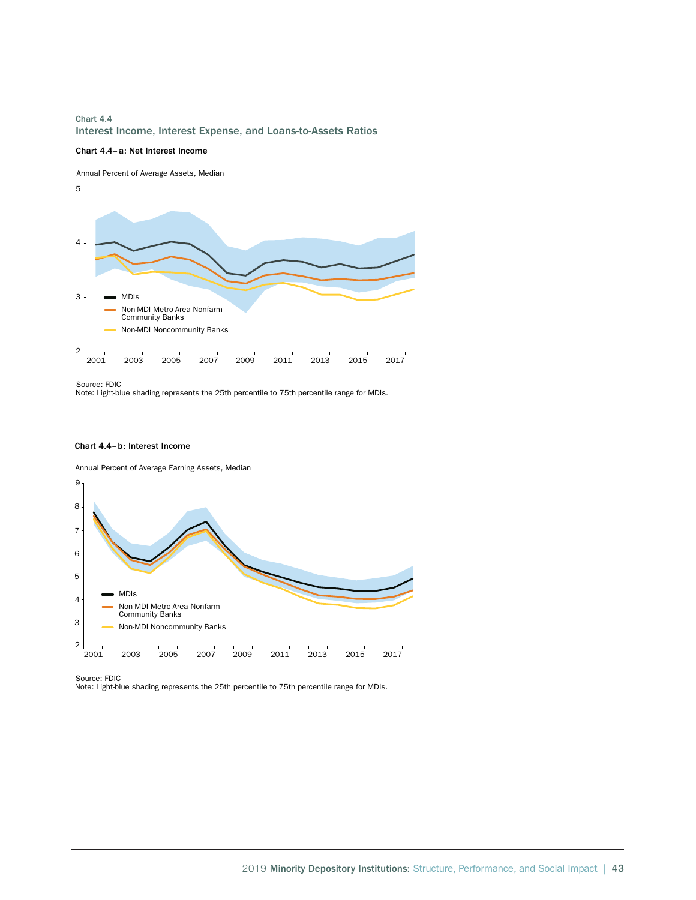# Chart 4.4 Interest Income, Interest Expense, and Loans-to-Assets Ratios

#### Chart 4.4– a: Net Interest Income





Source: FDIC

Note: Light-blue shading represents the 25th percentile to 75th percentile range for MDIs.

#### Chart 4.4– b: Interest Income

Annual Percent of Average Earning Assets, Median



Source: FDIC

Note: Light-blue shading represents the 25th percentile to 75th percentile range for MDIs.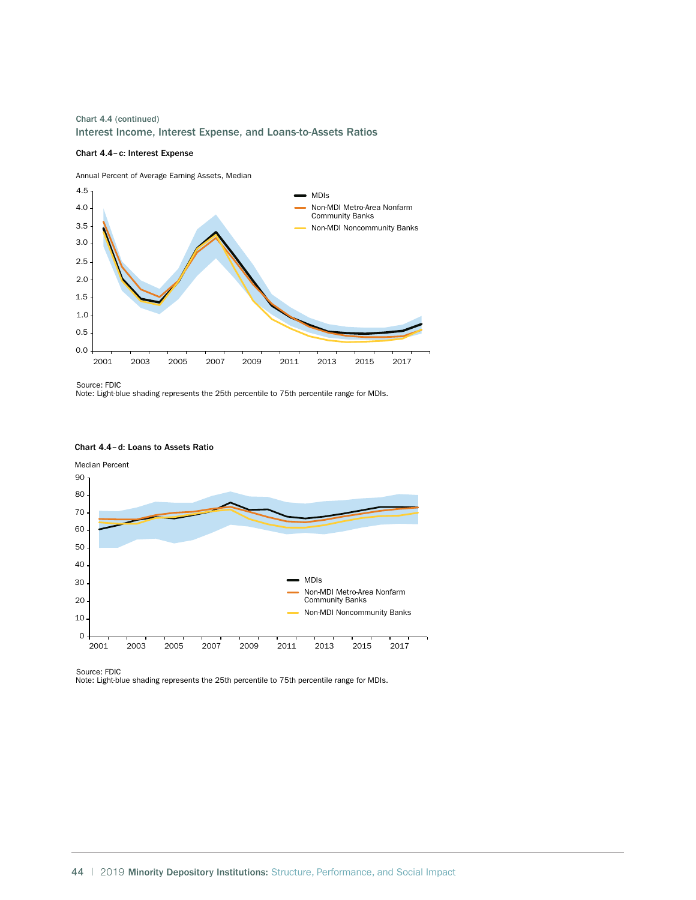## Chart 4.4 (continued) Interest Income, Interest Expense, and Loans-to-Assets Ratios

# Chart 4.4– c: Interest Expense



Source: FDIC

Note: Light-blue shading represents the 25th percentile to 75th percentile range for MDIs.





Source: FDIC

Note: Light-blue shading represents the 25th percentile to 75th percentile range for MDIs.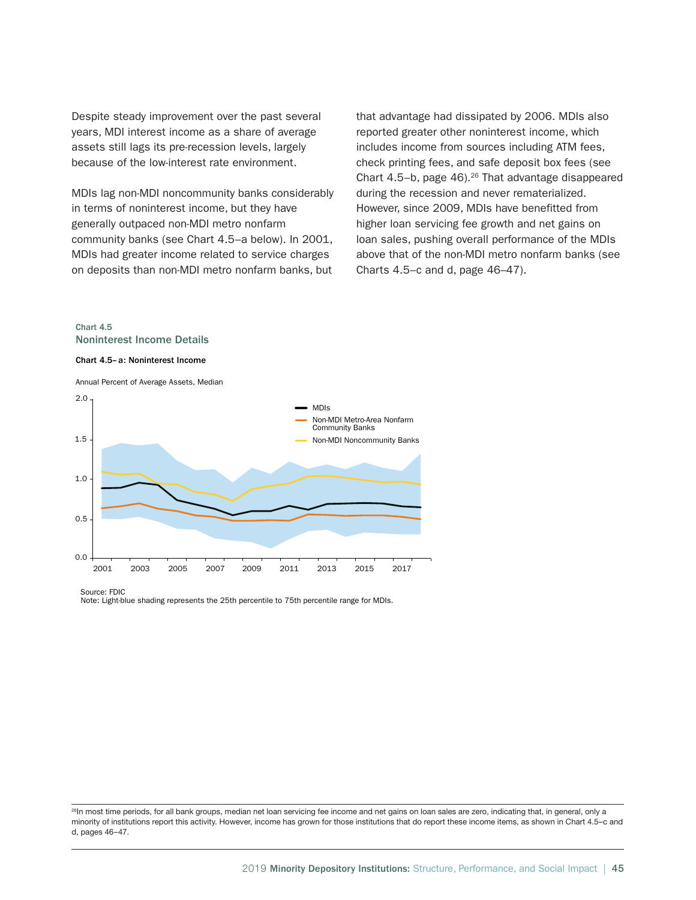Despite steady improvement over the past several years, MDI interest income as a share of average assets still lags its pre-recession levels, largely because of the low-interest rate environment.

MDIs lag non-MDI noncommunity banks considerably in terms of noninterest income, but they have generally outpaced non-MDI metro nonfarm community banks (see Chart 4.5–a below). In 2001, MDIs had greater income related to service charges on deposits than non-MDI metro nonfarm banks, but that advantage had dissipated by 2006. MDIs also reported greater other noninterest income, which includes income from sources including ATM fees, check printing fees, and safe deposit box fees (see Chart  $4.5$ –b, page  $46$ ).<sup>26</sup> That advantage disappeared during the recession and never rematerialized. However, since 2009, MDIs have benefitted from higher loan servicing fee growth and net gains on loan sales, pushing overall performance of the MDIs above that of the non-MDI metro nonfarm banks (see Charts 4.5–c and d, page 46–47).

## Chart 4.5 Noninterest Income Details

#### Chart 4.5– a: Noninterest Income



Source: FDIC Note: Light-blue shading represents the 25th percentile to 75th percentile range for MDIs.

<sup>26</sup>In most time periods, for all bank groups, median net loan servicing fee income and net gains on loan sales are zero, indicating that, in general, only a minority of institutions report this activity. However, income has grown for those institutions that do report these income items, as shown in Chart 4.5–c and d, pages 46–47.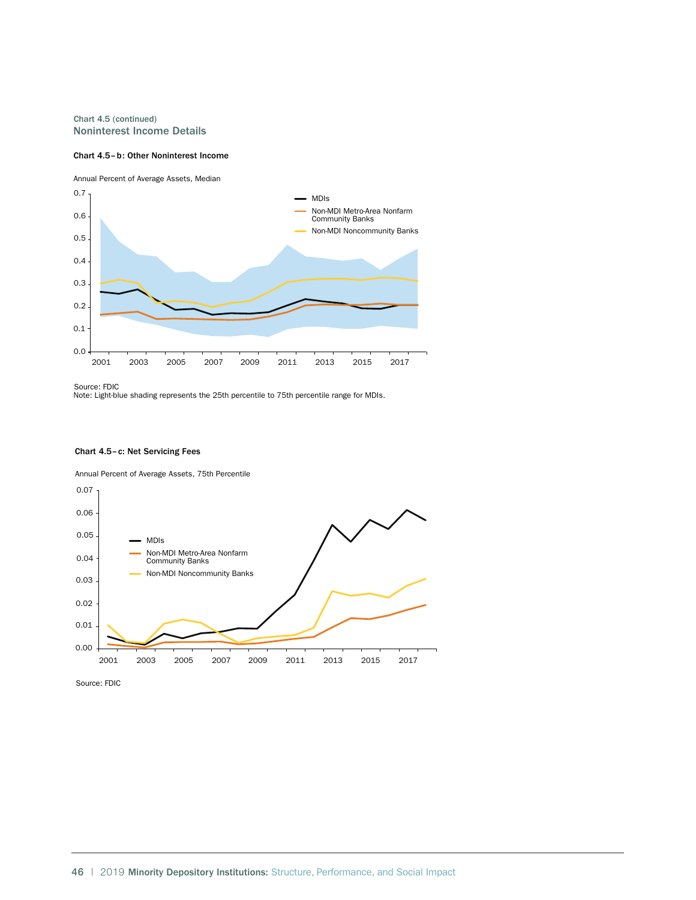## Chart 4.5 (continued) Noninterest Income Details

#### Chart 4.5– b: Other Noninterest Income



Source: FDIC

Note: Light-blue shading represents the 25th percentile to 75th percentile range for MDIs.

## Chart 4.5– c: Net Servicing Fees

Annual Percent of Average Assets, 75th Percentile

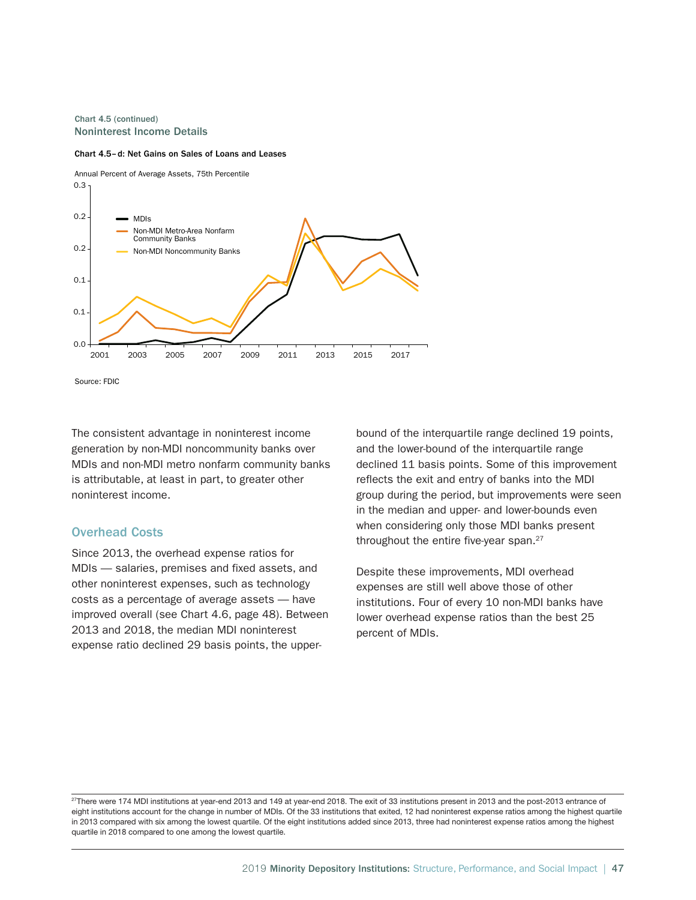## Chart 4.5 (continued) Noninterest Income Details

#### Chart 4.5– d: Net Gains on Sales of Loans and Leases



Source: FDIC

The consistent advantage in noninterest income generation by non-MDI noncommunity banks over MDIs and non-MDI metro nonfarm community banks is attributable, at least in part, to greater other noninterest income.

## Overhead Costs

Since 2013, the overhead expense ratios for MDIs — salaries, premises and fixed assets, and other noninterest expenses, such as technology costs as a percentage of average assets — have improved overall (see Chart 4.6, page 48). Between 2013 and 2018, the median MDI noninterest expense ratio declined 29 basis points, the upperbound of the interquartile range declined 19 points, and the lower-bound of the interquartile range declined 11 basis points. Some of this improvement reflects the exit and entry of banks into the MDI group during the period, but improvements were seen in the median and upper- and lower-bounds even when considering only those MDI banks present throughout the entire five-year span.<sup>27</sup>

Despite these improvements, MDI overhead expenses are still well above those of other institutions. Four of every 10 non-MDI banks have lower overhead expense ratios than the best 25 percent of MDIs.

<sup>27</sup>There were 174 MDI institutions at year-end 2013 and 149 at year-end 2018. The exit of 33 institutions present in 2013 and the post-2013 entrance of eight institutions account for the change in number of MDIs. Of the 33 institutions that exited, 12 had noninterest expense ratios among the highest quartile in 2013 compared with six among the lowest quartile. Of the eight institutions added since 2013, three had noninterest expense ratios among the highest quartile in 2018 compared to one among the lowest quartile.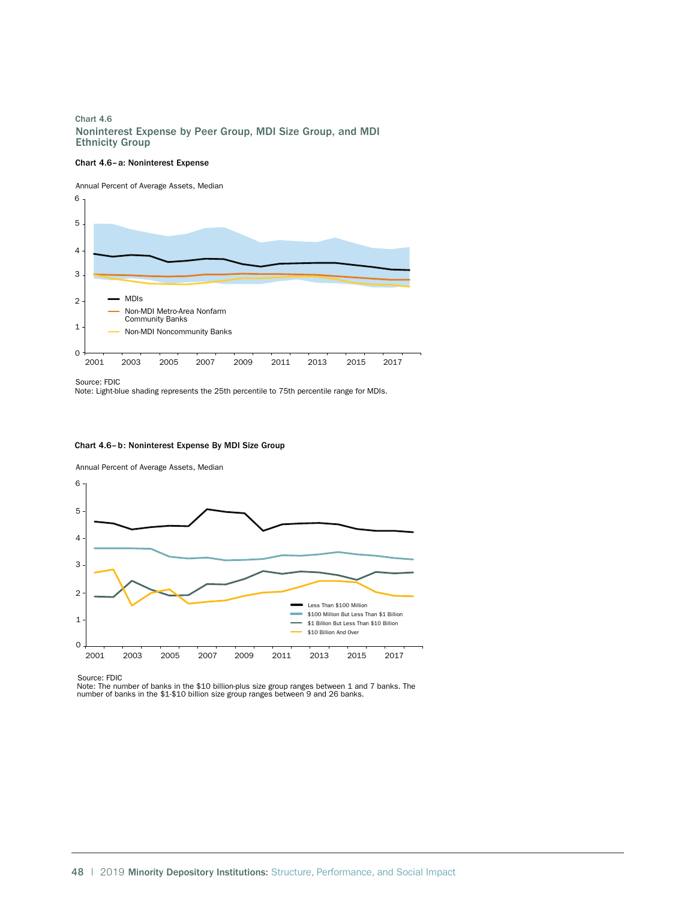## Chart 4.6 Noninterest Expense by Peer Group, MDI Size Group, and MDI Ethnicity Group

## Chart 4.6– a: Noninterest Expense

## Annual Percent of Average Assets, Median



Source: FDIC Note: Light-blue shading represents the 25th percentile to 75th percentile range for MDIs.



Annual Percent of Average Assets, Median



Source: FDIC

Note: The number of banks in the \$10 billion-plus size group ranges between 1 and 7 banks. The number of banks in the \$1-\$10 billion size group ranges between 9 and 26 banks.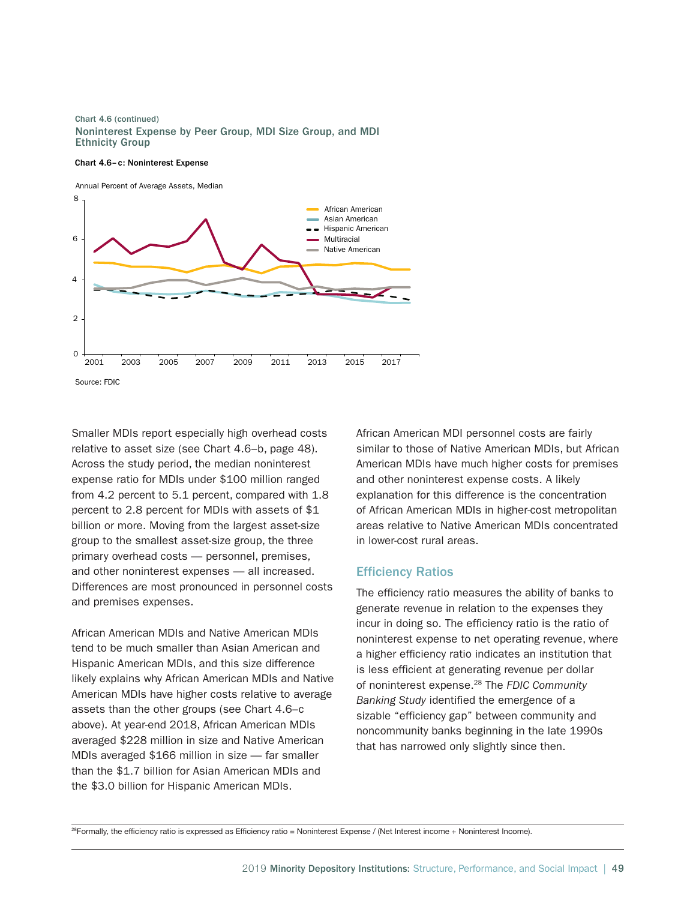## Chart 4.6 (continued) Noninterest Expense by Peer Group, MDI Size Group, and MDI Ethnicity Group

#### Chart 4.6– c: Noninterest Expense





Smaller MDIs report especially high overhead costs relative to asset size (see Chart 4.6–b, page 48). Across the study period, the median noninterest expense ratio for MDIs under \$100 million ranged from 4.2 percent to 5.1 percent, compared with 1.8 percent to 2.8 percent for MDIs with assets of \$1 billion or more. Moving from the largest asset-size group to the smallest asset-size group, the three primary overhead costs — personnel, premises, and other noninterest expenses — all increased. Differences are most pronounced in personnel costs and premises expenses.

African American MDIs and Native American MDIs tend to be much smaller than Asian American and Hispanic American MDIs, and this size difference likely explains why African American MDIs and Native American MDIs have higher costs relative to average assets than the other groups (see Chart 4.6–c above). At year-end 2018, African American MDIs averaged \$228 million in size and Native American MDIs averaged \$166 million in size — far smaller than the \$1.7 billion for Asian American MDIs and the \$3.0 billion for Hispanic American MDIs.

African American MDI personnel costs are fairly similar to those of Native American MDIs, but African American MDIs have much higher costs for premises and other noninterest expense costs. A likely explanation for this difference is the concentration of African American MDIs in higher-cost metropolitan areas relative to Native American MDIs concentrated in lower-cost rural areas.

## Efficiency Ratios

The efficiency ratio measures the ability of banks to generate revenue in relation to the expenses they incur in doing so. The efficiency ratio is the ratio of noninterest expense to net operating revenue, where a higher efficiency ratio indicates an institution that is less efficient at generating revenue per dollar of noninterest expense.28 The *FDIC Community Banking Study* identified the emergence of a sizable "efficiency gap" between community and noncommunity banks beginning in the late 1990s that has narrowed only slightly since then.

<sup>28</sup>Formally, the efficiency ratio is expressed as Efficiency ratio = Noninterest Expense / (Net Interest income + Noninterest Income).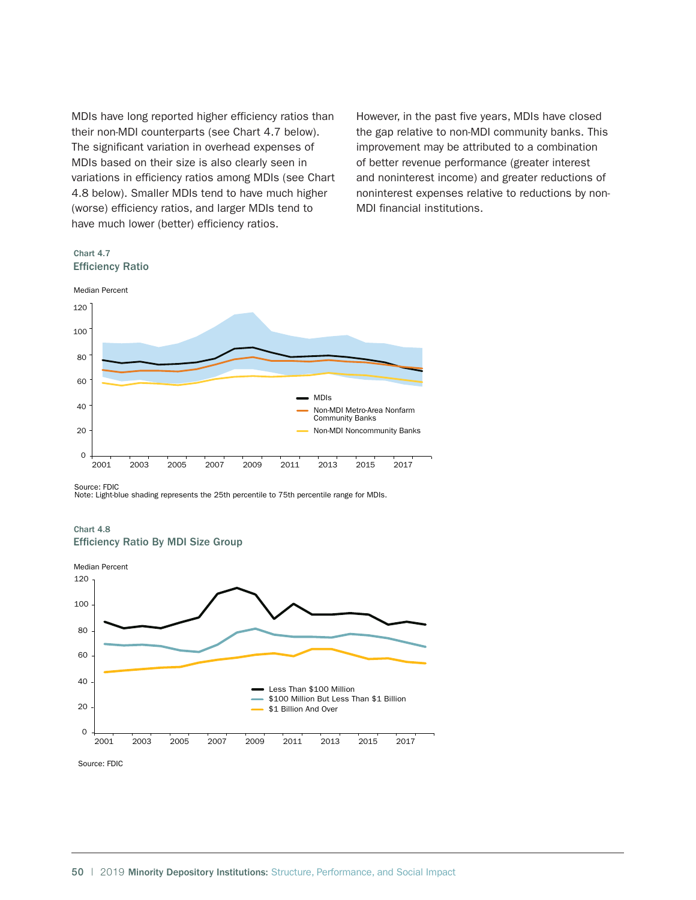MDIs have long reported higher efficiency ratios than their non-MDI counterparts (see Chart 4.7 below). The significant variation in overhead expenses of MDIs based on their size is also clearly seen in variations in efficiency ratios among MDIs (see Chart 4.8 below). Smaller MDIs tend to have much higher (worse) efficiency ratios, and larger MDIs tend to have much lower (better) efficiency ratios.

However, in the past five years, MDIs have closed the gap relative to non-MDI community banks. This improvement may be attributed to a combination of better revenue performance (greater interest and noninterest income) and greater reductions of noninterest expenses relative to reductions by non-MDI financial institutions.

## Chart 4.7 Efficiency Ratio



Source: FDIC

Note: Light-blue shading represents the 25th percentile to 75th percentile range for MDIs.



## Chart 4.8 Efficiency Ratio By MDI Size Group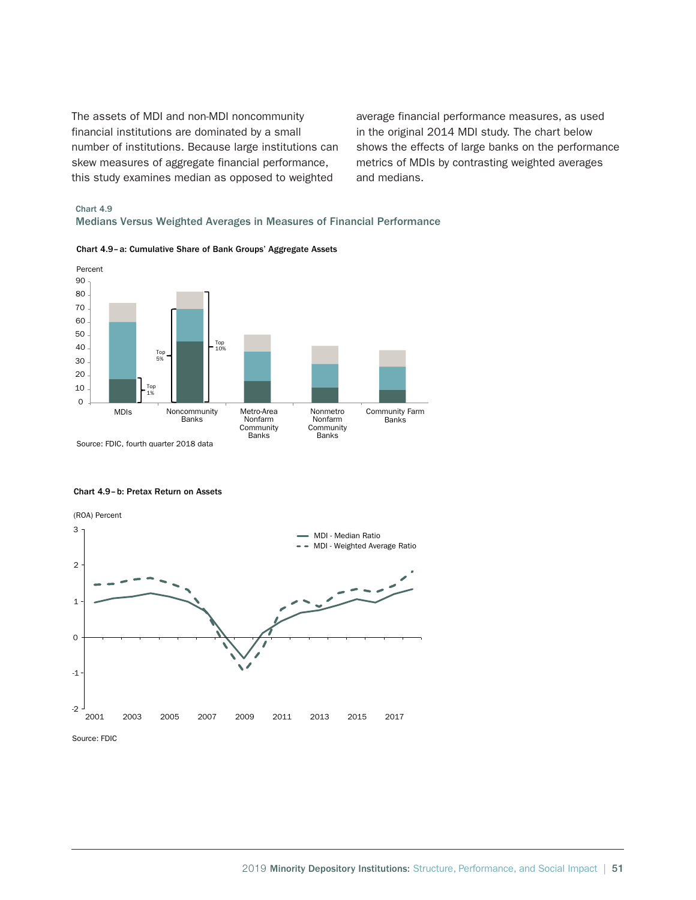The assets of MDI and non-MDI noncommunity financial institutions are dominated by a small number of institutions. Because large institutions can skew measures of aggregate financial performance, this study examines median as opposed to weighted

average financial performance measures, as used in the original 2014 MDI study. The chart below shows the effects of large banks on the performance metrics of MDIs by contrasting weighted averages and medians.

# Chart 4.9 Medians Versus Weighted Averages in Measures of Financial Performance



Chart 4.9– a: Cumulative Share of Bank Groups' Aggregate Assets

#### Chart 4.9– b: Pretax Return on Assets

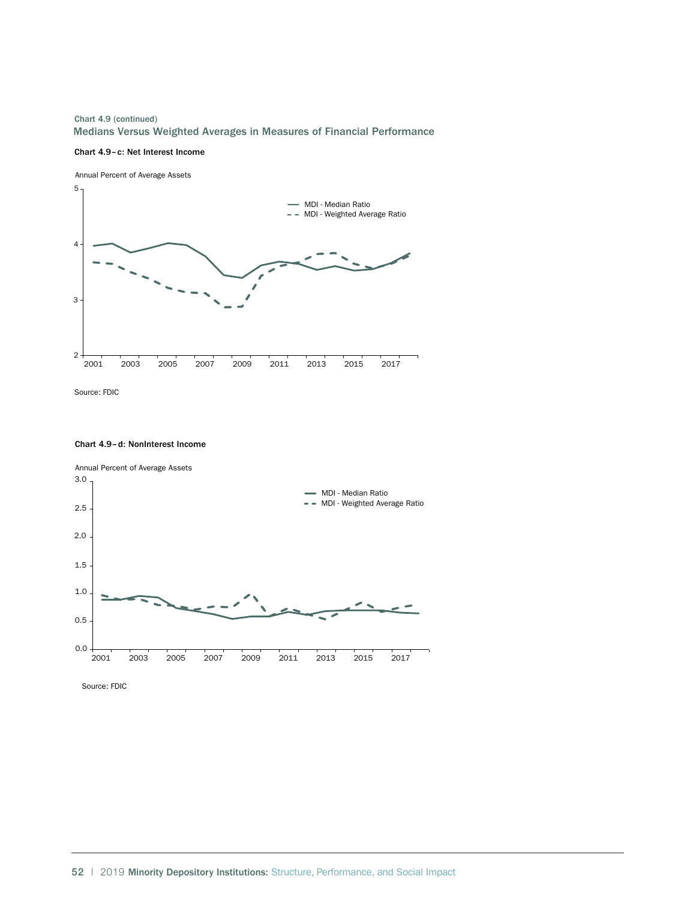# Chart 4.9 (continued) Medians Versus Weighted Averages in Measures of Financial Performance

#### Chart 4.9– c: Net Interest Income

Annual Percent of Average Assets



Source: FDIC